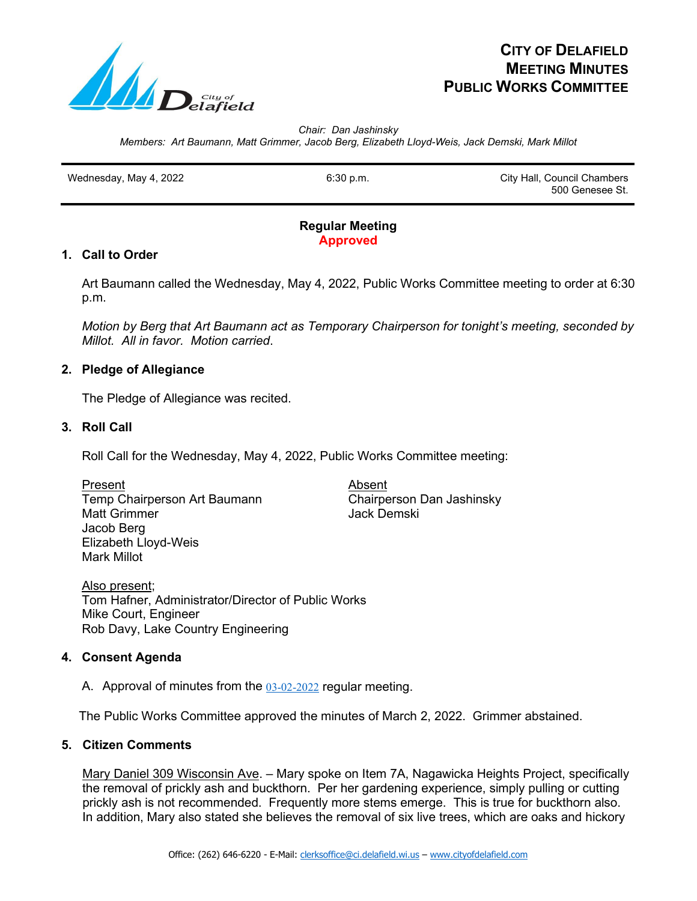

# **CITY OF DELAFIELD MEETING MINUTES PUBLIC WORKS COMMITTEE**

*Chair: Dan Jashinsky Members: Art Baumann, Matt Grimmer, Jacob Berg, Elizabeth Lloyd-Weis, Jack Demski, Mark Millot*

Wednesday, May 4, 2022 **6:30 p.m.** 6:30 p.m. City Hall, Council Chambers 500 Genesee St.

## **Regular Meeting Approved**

# **1. Call to Order**

Art Baumann called the Wednesday, May 4, 2022, Public Works Committee meeting to order at 6:30 p.m.

*Motion by Berg that Art Baumann act as Temporary Chairperson for tonight's meeting, seconded by Millot. All in favor. Motion carried*.

# **2. Pledge of Allegiance**

The Pledge of Allegiance was recited.

## **3. Roll Call**

Roll Call for the Wednesday, May 4, 2022, Public Works Committee meeting:

Present Absent Temp Chairperson Art Baumann Chairperson Dan Jashinsky Matt Grimmer **Matt Grimmer** Jack Demski Jacob Berg Elizabeth Lloyd-Weis Mark Millot

Also present; Tom Hafner, Administrator/Director of Public Works Mike Court, Engineer Rob Davy, Lake Country Engineering

# **4. Consent Agenda**

A. Approval of minutes from the 03-02-2022 regular meeting.

The Public Works Committee approved the minutes of March 2, 2022. Grimmer abstained.

#### **5. Citizen Comments**

Mary Daniel 309 Wisconsin Ave. – Mary spoke on Item 7A, Nagawicka Heights Project, specifically the removal of prickly ash and buckthorn. Per her gardening experience, simply pulling or cutting prickly ash is not recommended. Frequently more stems emerge. This is true for buckthorn also. In addition, Mary also stated she believes the removal of six live trees, which are oaks and hickory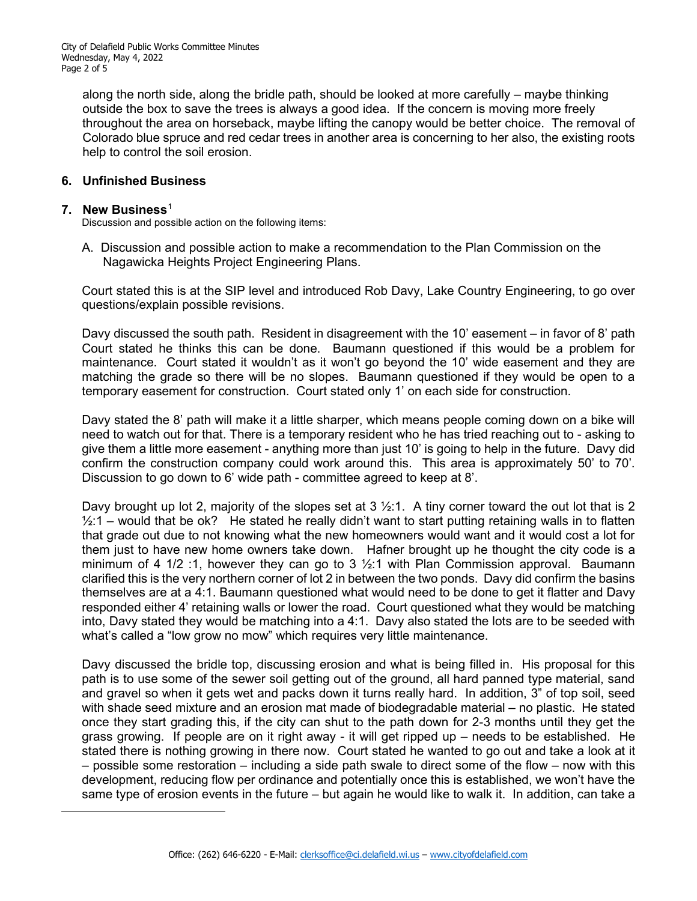along the north side, along the bridle path, should be looked at more carefully – maybe thinking outside the box to save the trees is always a good idea. If the concern is moving more freely throughout the area on horseback, maybe lifting the canopy would be better choice. The removal of Colorado blue spruce and red cedar trees in another area is concerning to her also, the existing roots help to control the soil erosion.

## **6. Unfinished Business**

#### **7. New Business**[1](#page-1-0)

Discussion and possible action on the following items:

A. Discussion and possible action to make a recommendation to the Plan Commission on the Nagawicka Heights Project Engineering Plans.

Court stated this is at the SIP level and introduced Rob Davy, Lake Country Engineering, to go over questions/explain possible revisions.

Davy discussed the south path. Resident in disagreement with the 10' easement – in favor of 8' path Court stated he thinks this can be done. Baumann questioned if this would be a problem for maintenance. Court stated it wouldn't as it won't go beyond the 10' wide easement and they are matching the grade so there will be no slopes. Baumann questioned if they would be open to a temporary easement for construction. Court stated only 1' on each side for construction.

Davy stated the 8' path will make it a little sharper, which means people coming down on a bike will need to watch out for that. There is a temporary resident who he has tried reaching out to - asking to give them a little more easement - anything more than just 10' is going to help in the future. Davy did confirm the construction company could work around this. This area is approximately 50' to 70'. Discussion to go down to 6' wide path - committee agreed to keep at 8'.

Davy brought up lot 2, majority of the slopes set at  $3\frac{1}{2}$ :1. A tiny corner toward the out lot that is 2  $\frac{1}{2}$ :1 – would that be ok? He stated he really didn't want to start putting retaining walls in to flatten that grade out due to not knowing what the new homeowners would want and it would cost a lot for them just to have new home owners take down. Hafner brought up he thought the city code is a minimum of 4 1/2 :1, however they can go to 3 ½:1 with Plan Commission approval. Baumann clarified this is the very northern corner of lot 2 in between the two ponds. Davy did confirm the basins themselves are at a 4:1. Baumann questioned what would need to be done to get it flatter and Davy responded either 4' retaining walls or lower the road. Court questioned what they would be matching into, Davy stated they would be matching into a 4:1. Davy also stated the lots are to be seeded with what's called a "low grow no mow" which requires very little maintenance.

<span id="page-1-0"></span>Davy discussed the bridle top, discussing erosion and what is being filled in. His proposal for this path is to use some of the sewer soil getting out of the ground, all hard panned type material, sand and gravel so when it gets wet and packs down it turns really hard. In addition, 3" of top soil, seed with shade seed mixture and an erosion mat made of biodegradable material – no plastic. He stated once they start grading this, if the city can shut to the path down for 2-3 months until they get the grass growing. If people are on it right away - it will get ripped up – needs to be established. He stated there is nothing growing in there now. Court stated he wanted to go out and take a look at it – possible some restoration – including a side path swale to direct some of the flow – now with this development, reducing flow per ordinance and potentially once this is established, we won't have the same type of erosion events in the future – but again he would like to walk it. In addition, can take a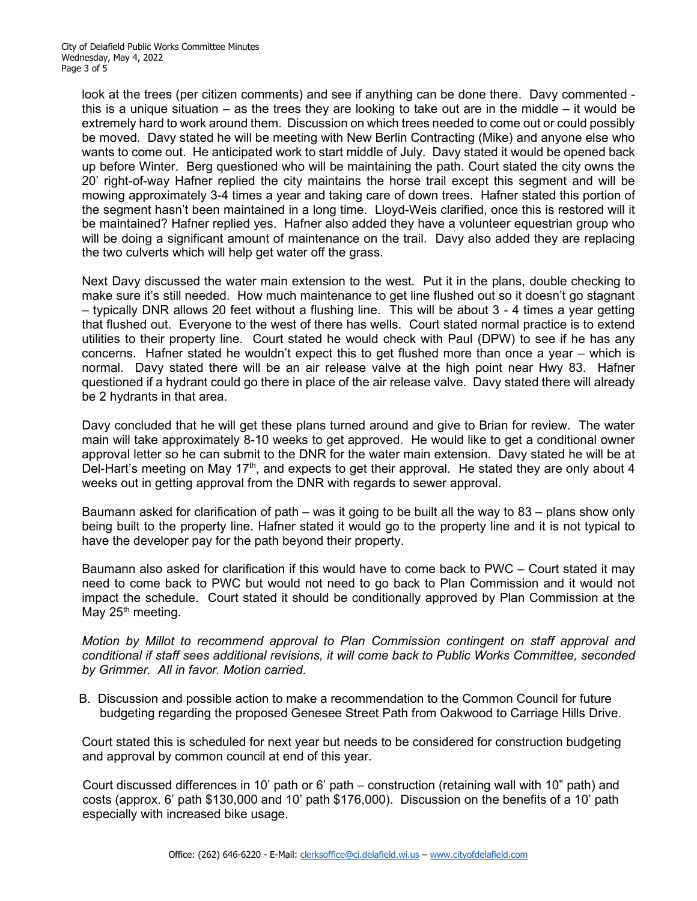look at the trees (per citizen comments) and see if anything can be done there. Davy commented this is a unique situation – as the trees they are looking to take out are in the middle – it would be extremely hard to work around them. Discussion on which trees needed to come out or could possibly be moved. Davy stated he will be meeting with New Berlin Contracting (Mike) and anyone else who wants to come out. He anticipated work to start middle of July. Davy stated it would be opened back up before Winter. Berg questioned who will be maintaining the path. Court stated the city owns the 20' right-of-way Hafner replied the city maintains the horse trail except this segment and will be mowing approximately 3-4 times a year and taking care of down trees. Hafner stated this portion of the segment hasn't been maintained in a long time. Lloyd-Weis clarified, once this is restored will it be maintained? Hafner replied yes. Hafner also added they have a volunteer equestrian group who will be doing a significant amount of maintenance on the trail. Davy also added they are replacing the two culverts which will help get water off the grass.

Next Davy discussed the water main extension to the west. Put it in the plans, double checking to make sure it's still needed. How much maintenance to get line flushed out so it doesn't go stagnant – typically DNR allows 20 feet without a flushing line. This will be about 3 - 4 times a year getting that flushed out. Everyone to the west of there has wells. Court stated normal practice is to extend utilities to their property line. Court stated he would check with Paul (DPW) to see if he has any concerns. Hafner stated he wouldn't expect this to get flushed more than once a year – which is normal. Davy stated there will be an air release valve at the high point near Hwy 83. Hafner questioned if a hydrant could go there in place of the air release valve. Davy stated there will already be 2 hydrants in that area.

Davy concluded that he will get these plans turned around and give to Brian for review. The water main will take approximately 8-10 weeks to get approved. He would like to get a conditional owner approval letter so he can submit to the DNR for the water main extension. Davy stated he will be at Del-Hart's meeting on May 17<sup>th</sup>, and expects to get their approval. He stated they are only about 4 weeks out in getting approval from the DNR with regards to sewer approval.

Baumann asked for clarification of path – was it going to be built all the way to 83 – plans show only being built to the property line. Hafner stated it would go to the property line and it is not typical to have the developer pay for the path beyond their property.

Baumann also asked for clarification if this would have to come back to PWC – Court stated it may need to come back to PWC but would not need to go back to Plan Commission and it would not impact the schedule. Court stated it should be conditionally approved by Plan Commission at the May  $25<sup>th</sup>$  meeting.

*Motion by Millot to recommend approval to Plan Commission contingent on staff approval and conditional if staff sees additional revisions, it will come back to Public Works Committee, seconded by Grimmer. All in favor. Motion carried*.

 B. Discussion and possible action to make a recommendation to the Common Council for future budgeting regarding the proposed Genesee Street Path from Oakwood to Carriage Hills Drive.

Court stated this is scheduled for next year but needs to be considered for construction budgeting and approval by common council at end of this year.

 Court discussed differences in 10' path or 6' path – construction (retaining wall with 10" path) and costs (approx. 6' path \$130,000 and 10' path \$176,000). Discussion on the benefits of a 10' path especially with increased bike usage.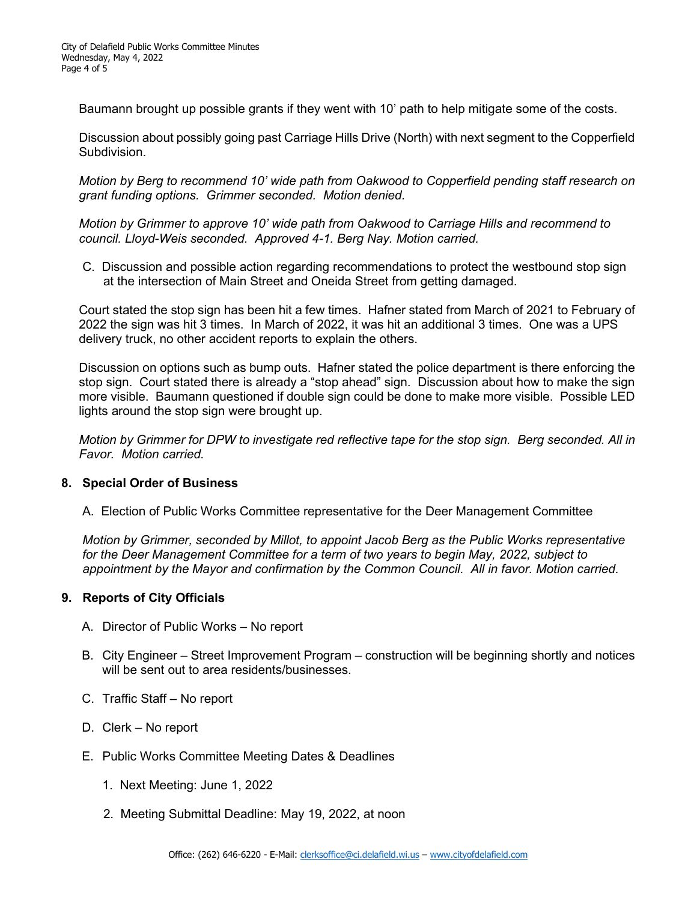Baumann brought up possible grants if they went with 10' path to help mitigate some of the costs.

 Discussion about possibly going past Carriage Hills Drive (North) with next segment to the Copperfield Subdivision.

 *Motion by Berg to recommend 10' wide path from Oakwood to Copperfield pending staff research on grant funding options. Grimmer seconded. Motion denied.*

 *Motion by Grimmer to approve 10' wide path from Oakwood to Carriage Hills and recommend to council. Lloyd-Weis seconded. Approved 4-1. Berg Nay. Motion carried.*

 C. Discussion and possible action regarding recommendations to protect the westbound stop sign at the intersection of Main Street and Oneida Street from getting damaged.

 Court stated the stop sign has been hit a few times. Hafner stated from March of 2021 to February of 2022 the sign was hit 3 times. In March of 2022, it was hit an additional 3 times. One was a UPS delivery truck, no other accident reports to explain the others.

 Discussion on options such as bump outs. Hafner stated the police department is there enforcing the stop sign. Court stated there is already a "stop ahead" sign. Discussion about how to make the sign more visible. Baumann questioned if double sign could be done to make more visible. Possible LED lights around the stop sign were brought up.

 *Motion by Grimmer for DPW to investigate red reflective tape for the stop sign. Berg seconded. All in Favor. Motion carried.*

# **8. Special Order of Business**

A. Election of Public Works Committee representative for the Deer Management Committee

 *Motion by Grimmer, seconded by Millot, to appoint Jacob Berg as the Public Works representative for the Deer Management Committee for a term of two years to begin May, 2022, subject to appointment by the Mayor and confirmation by the Common Council. All in favor. Motion carried.* 

# **9. Reports of City Officials**

- A. Director of Public Works No report
- B. City Engineer Street Improvement Program construction will be beginning shortly and notices will be sent out to area residents/businesses.
- C. Traffic Staff No report
- D. Clerk No report
- E. Public Works Committee Meeting Dates & Deadlines
	- 1. Next Meeting: June 1, 2022
	- 2. Meeting Submittal Deadline: May 19, 2022, at noon